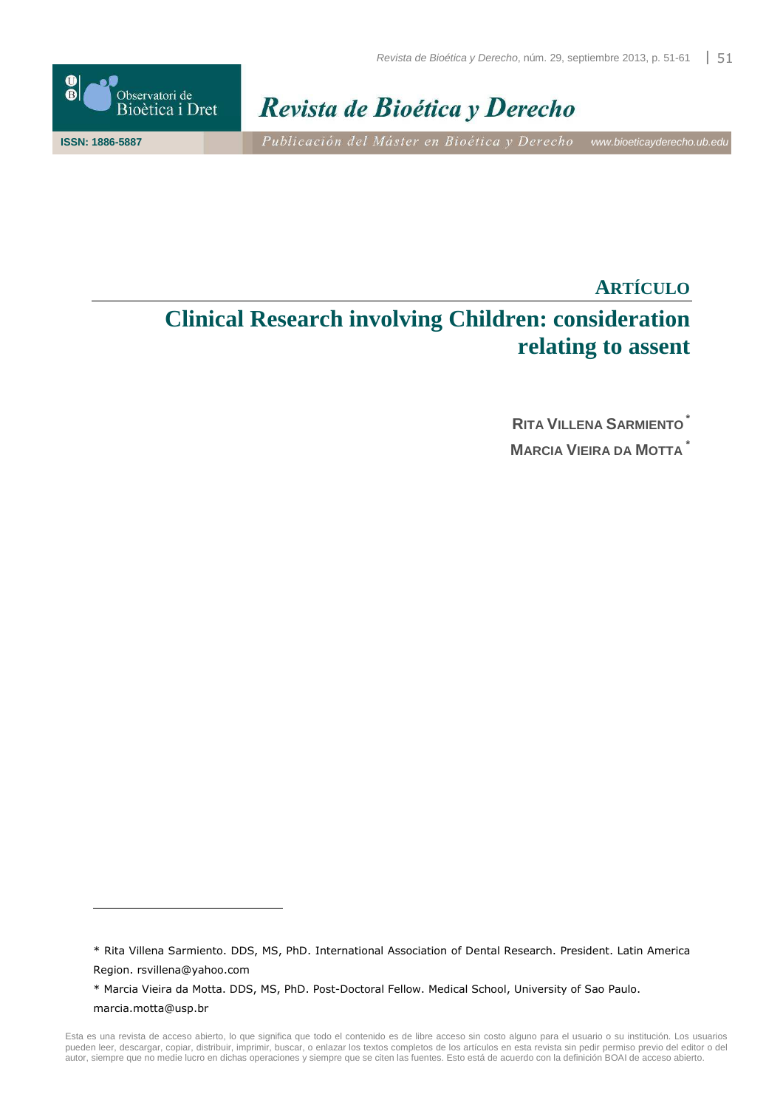

l



**ISSN: 1886-5887** Publicación del Máster en Bioética y Derecho www.bioeticayderecho.ub.edu

# **ARTÍCULO Clinical Research involving Children: consideration relating to assent**

**RITA VILLENA SARMIENTO \* MARCIA VIEIRA DA MOTTA \***

<sup>\*</sup> Rita Villena Sarmiento. DDS, MS, PhD. International Association of Dental Research. President. Latin America Region. rsvillena@yahoo.com

<sup>\*</sup> Marcia Vieira da Motta. DDS, MS, PhD. Post-Doctoral Fellow. Medical School, University of Sao Paulo. marcia.motta@usp.br

Esta es una revista de acceso abierto, lo que significa que todo el contenido es de libre acceso sin costo alguno para el usuario o su institución. Los usuarios pueden leer, descargar, copiar, distribuir, imprimir, buscar, o enlazar los textos completos de los artículos en esta revista sin pedir permiso previo del editor o del autor, siempre que no medie lucro en dichas operaciones y siempre que se citen las fuentes. Esto está de acuerdo con la definición BOAI de acceso abierto.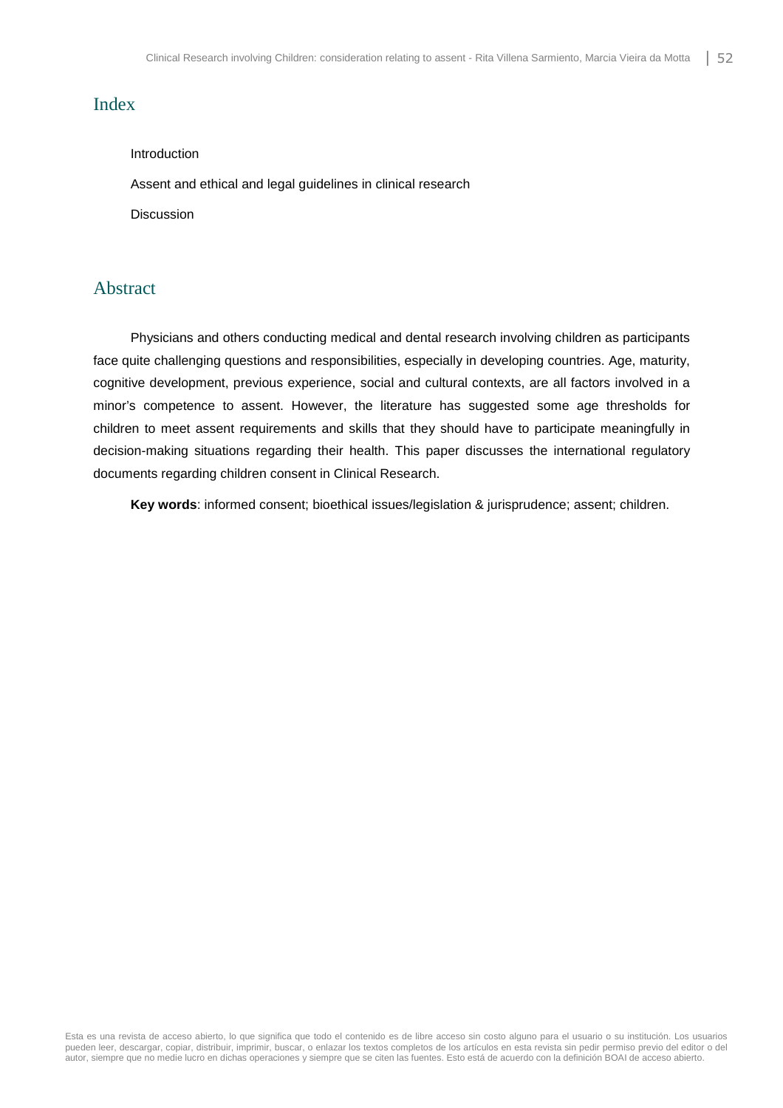### Index

#### Introduction

Assent and ethical and legal guidelines in clinical research

Discussion

# Abstract

Physicians and others conducting medical and dental research involving children as participants face quite challenging questions and responsibilities, especially in developing countries. Age, maturity, cognitive development, previous experience, social and cultural contexts, are all factors involved in a minor's competence to assent. However, the literature has suggested some age thresholds for children to meet assent requirements and skills that they should have to participate meaningfully in decision-making situations regarding their health. This paper discusses the international regulatory documents regarding children consent in Clinical Research.

**Key words**: informed consent; bioethical issues/legislation & jurisprudence; assent; children.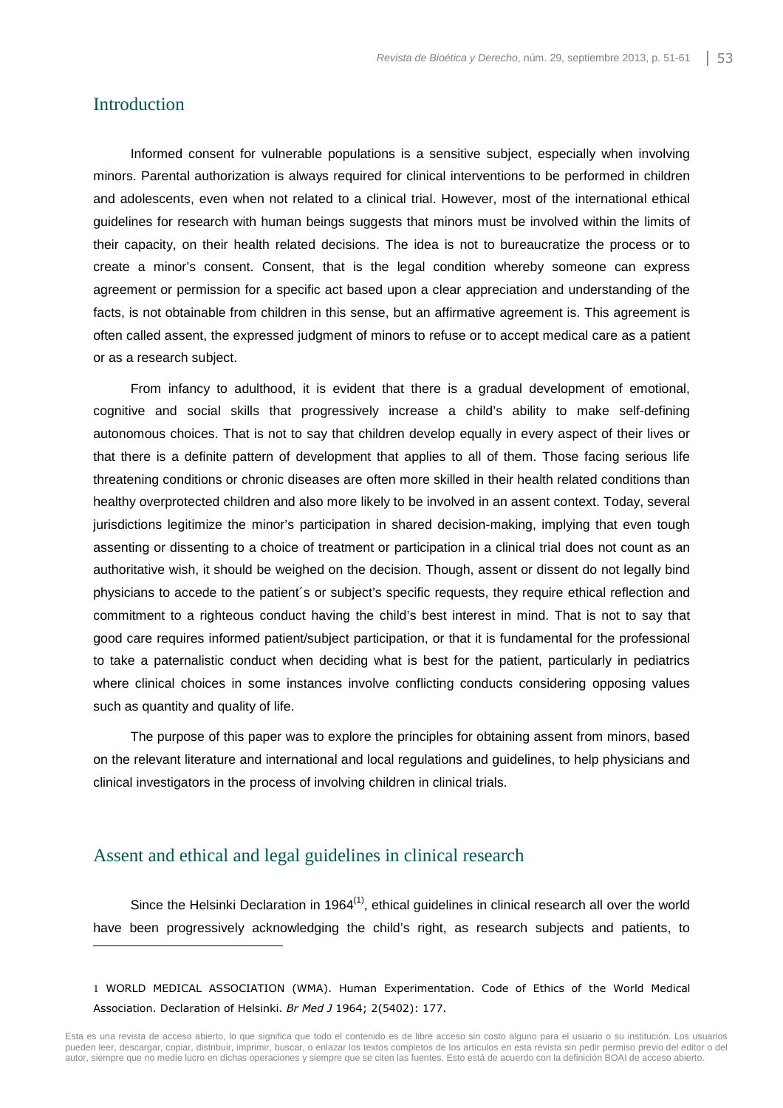#### Introduction

l

Informed consent for vulnerable populations is a sensitive subject, especially when involving minors. Parental authorization is always required for clinical interventions to be performed in children and adolescents, even when not related to a clinical trial. However, most of the international ethical guidelines for research with human beings suggests that minors must be involved within the limits of their capacity, on their health related decisions. The idea is not to bureaucratize the process or to create a minor's consent. Consent, that is the legal condition whereby someone can express agreement or permission for a specific act based upon a clear appreciation and understanding of the facts, is not obtainable from children in this sense, but an affirmative agreement is. This agreement is often called assent, the expressed judgment of minors to refuse or to accept medical care as a patient or as a research subject.

From infancy to adulthood, it is evident that there is a gradual development of emotional, cognitive and social skills that progressively increase a child's ability to make self-defining autonomous choices. That is not to say that children develop equally in every aspect of their lives or that there is a definite pattern of development that applies to all of them. Those facing serious life threatening conditions or chronic diseases are often more skilled in their health related conditions than healthy overprotected children and also more likely to be involved in an assent context. Today, several jurisdictions legitimize the minor's participation in shared decision-making, implying that even tough assenting or dissenting to a choice of treatment or participation in a clinical trial does not count as an authoritative wish, it should be weighed on the decision. Though, assent or dissent do not legally bind physicians to accede to the patient´s or subject's specific requests, they require ethical reflection and commitment to a righteous conduct having the child's best interest in mind. That is not to say that good care requires informed patient/subject participation, or that it is fundamental for the professional to take a paternalistic conduct when deciding what is best for the patient, particularly in pediatrics where clinical choices in some instances involve conflicting conducts considering opposing values such as quantity and quality of life.

The purpose of this paper was to explore the principles for obtaining assent from minors, based on the relevant literature and international and local regulations and guidelines, to help physicians and clinical investigators in the process of involving children in clinical trials.

#### Assent and ethical and legal guidelines in clinical research

Since the Helsinki Declaration in 1964 $<sup>(1)</sup>$ , ethical guidelines in clinical research all over the world</sup> have been progressively acknowledging the child's right, as research subjects and patients, to

1 WORLD MEDICAL ASSOCIATION (WMA). Human Experimentation. Code of Ethics of the World Medical Association. Declaration of Helsinki. *Br Med J* 1964; 2(5402): 177.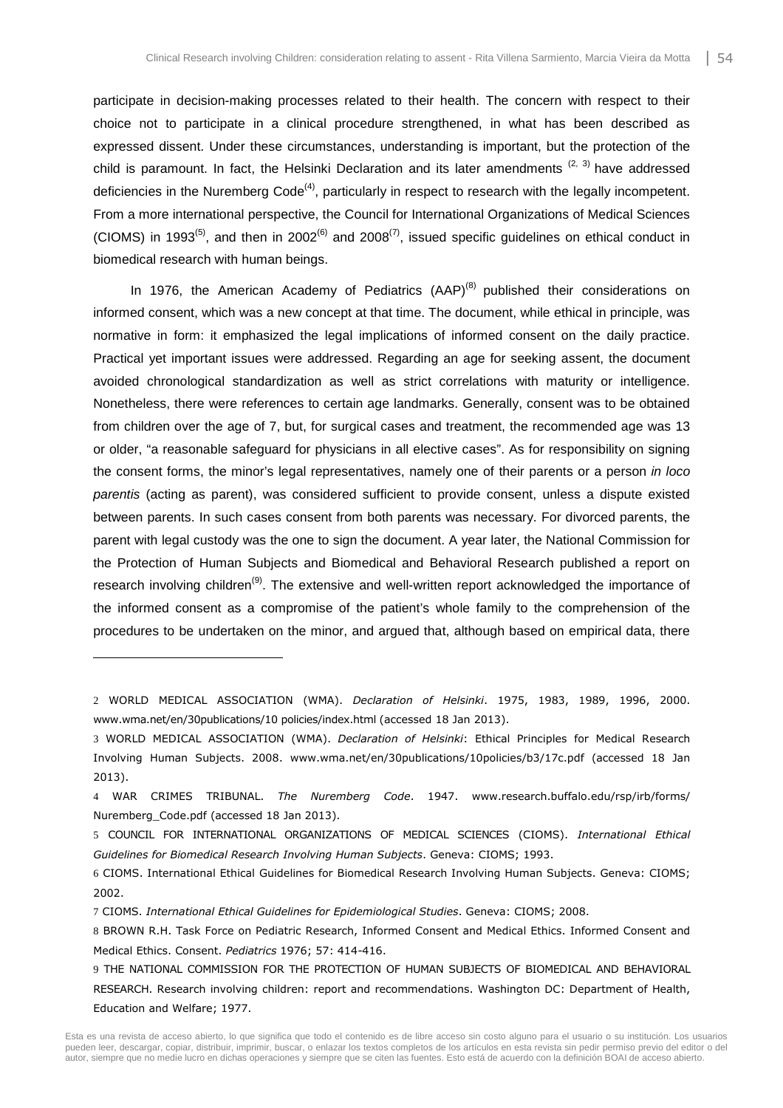participate in decision-making processes related to their health. The concern with respect to their choice not to participate in a clinical procedure strengthened, in what has been described as expressed dissent. Under these circumstances, understanding is important, but the protection of the child is paramount. In fact, the Helsinki Declaration and its later amendments  $(2, 3)$  have addressed deficiencies in the Nuremberg Code<sup>(4)</sup>, particularly in respect to research with the legally incompetent. From a more international perspective, the Council for International Organizations of Medical Sciences (CIOMS) in 1993<sup>(5)</sup>, and then in 2002<sup>(6)</sup> and 2008<sup>(7)</sup>, issued specific guidelines on ethical conduct in biomedical research with human beings.

In 1976, the American Academy of Pediatrics  $(AAP)^{(8)}$  published their considerations on informed consent, which was a new concept at that time. The document, while ethical in principle, was normative in form: it emphasized the legal implications of informed consent on the daily practice. Practical yet important issues were addressed. Regarding an age for seeking assent, the document avoided chronological standardization as well as strict correlations with maturity or intelligence. Nonetheless, there were references to certain age landmarks. Generally, consent was to be obtained from children over the age of 7, but, for surgical cases and treatment, the recommended age was 13 or older, "a reasonable safeguard for physicians in all elective cases". As for responsibility on signing the consent forms, the minor's legal representatives, namely one of their parents or a person in loco parentis (acting as parent), was considered sufficient to provide consent, unless a dispute existed between parents. In such cases consent from both parents was necessary. For divorced parents, the parent with legal custody was the one to sign the document. A year later, the National Commission for the Protection of Human Subjects and Biomedical and Behavioral Research published a report on research involving children<sup>(9)</sup>. The extensive and well-written report acknowledged the importance of the informed consent as a compromise of the patient's whole family to the comprehension of the procedures to be undertaken on the minor, and argued that, although based on empirical data, there

- 2 WORLD MEDICAL ASSOCIATION (WMA). *Declaration of Helsinki*. 1975, 1983, 1989, 1996, 2000. www.wma.net/en/30publications/10 policies/index.html (accessed 18 Jan 2013).
- 3 WORLD MEDICAL ASSOCIATION (WMA). *Declaration of Helsinki*: Ethical Principles for Medical Research Involving Human Subjects. 2008. www.wma.net/en/30publications/10policies/b3/17c.pdf (accessed 18 Jan 2013).
- 4 WAR CRIMES TRIBUNAL. *The Nuremberg Code*. 1947. www.research.buffalo.edu/rsp/irb/forms/ Nuremberg\_Code.pdf (accessed 18 Jan 2013).
- 5 COUNCIL FOR INTERNATIONAL ORGANIZATIONS OF MEDICAL SCIENCES (CIOMS). *International Ethical Guidelines for Biomedical Research Involving Human Subjects*. Geneva: CIOMS; 1993.
- 6 CIOMS. International Ethical Guidelines for Biomedical Research Involving Human Subjects. Geneva: CIOMS; 2002.
- 7 CIOMS. *International Ethical Guidelines for Epidemiological Studies*. Geneva: CIOMS; 2008.

- 8 BROWN R.H. Task Force on Pediatric Research, Informed Consent and Medical Ethics. Informed Consent and Medical Ethics. Consent. *Pediatrics* 1976; 57: 414-416.
- 9 THE NATIONAL COMMISSION FOR THE PROTECTION OF HUMAN SUBJECTS OF BIOMEDICAL AND BEHAVIORAL RESEARCH. Research involving children: report and recommendations. Washington DC: Department of Health, Education and Welfare; 1977.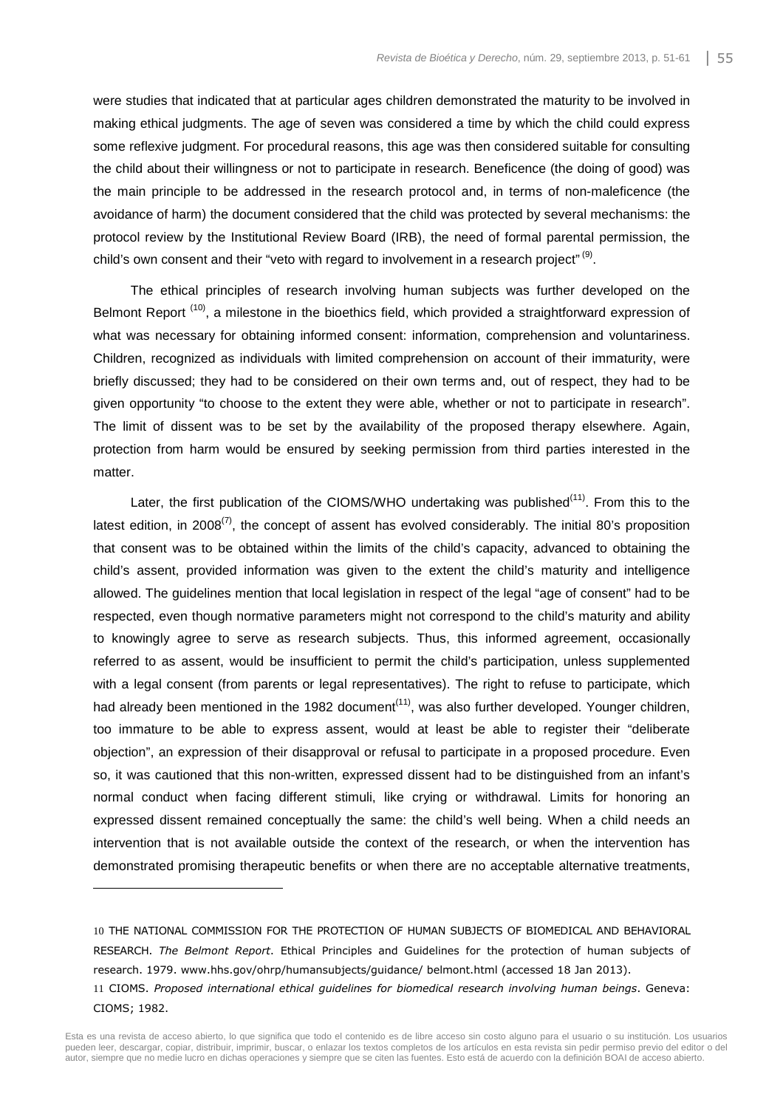were studies that indicated that at particular ages children demonstrated the maturity to be involved in making ethical judgments. The age of seven was considered a time by which the child could express some reflexive judgment. For procedural reasons, this age was then considered suitable for consulting the child about their willingness or not to participate in research. Beneficence (the doing of good) was the main principle to be addressed in the research protocol and, in terms of non-maleficence (the avoidance of harm) the document considered that the child was protected by several mechanisms: the protocol review by the Institutional Review Board (IRB), the need of formal parental permission, the child's own consent and their "veto with regard to involvement in a research project"  $(9)$ .

The ethical principles of research involving human subjects was further developed on the Belmont Report<sup>(10)</sup>, a milestone in the bioethics field, which provided a straightforward expression of what was necessary for obtaining informed consent: information, comprehension and voluntariness. Children, recognized as individuals with limited comprehension on account of their immaturity, were briefly discussed; they had to be considered on their own terms and, out of respect, they had to be given opportunity "to choose to the extent they were able, whether or not to participate in research". The limit of dissent was to be set by the availability of the proposed therapy elsewhere. Again, protection from harm would be ensured by seeking permission from third parties interested in the matter.

Later, the first publication of the CIOMS/WHO undertaking was published<sup> $(11)$ </sup>. From this to the latest edition, in 2008 $^{(7)}$ , the concept of assent has evolved considerably. The initial 80's proposition that consent was to be obtained within the limits of the child's capacity, advanced to obtaining the child's assent, provided information was given to the extent the child's maturity and intelligence allowed. The guidelines mention that local legislation in respect of the legal "age of consent" had to be respected, even though normative parameters might not correspond to the child's maturity and ability to knowingly agree to serve as research subjects. Thus, this informed agreement, occasionally referred to as assent, would be insufficient to permit the child's participation, unless supplemented with a legal consent (from parents or legal representatives). The right to refuse to participate, which had already been mentioned in the 1982 document<sup> $(11)$ </sup>, was also further developed. Younger children, too immature to be able to express assent, would at least be able to register their "deliberate objection", an expression of their disapproval or refusal to participate in a proposed procedure. Even so, it was cautioned that this non-written, expressed dissent had to be distinguished from an infant's normal conduct when facing different stimuli, like crying or withdrawal. Limits for honoring an expressed dissent remained conceptually the same: the child's well being. When a child needs an intervention that is not available outside the context of the research, or when the intervention has demonstrated promising therapeutic benefits or when there are no acceptable alternative treatments,

<sup>10</sup> THE NATIONAL COMMISSION FOR THE PROTECTION OF HUMAN SUBJECTS OF BIOMEDICAL AND BEHAVIORAL RESEARCH. *The Belmont Report*. Ethical Principles and Guidelines for the protection of human subjects of research. 1979. www.hhs.gov/ohrp/humansubjects/guidance/ belmont.html (accessed 18 Jan 2013). 11 CIOMS. *Proposed international ethical guidelines for biomedical research involving human beings*. Geneva: CIOMS; 1982.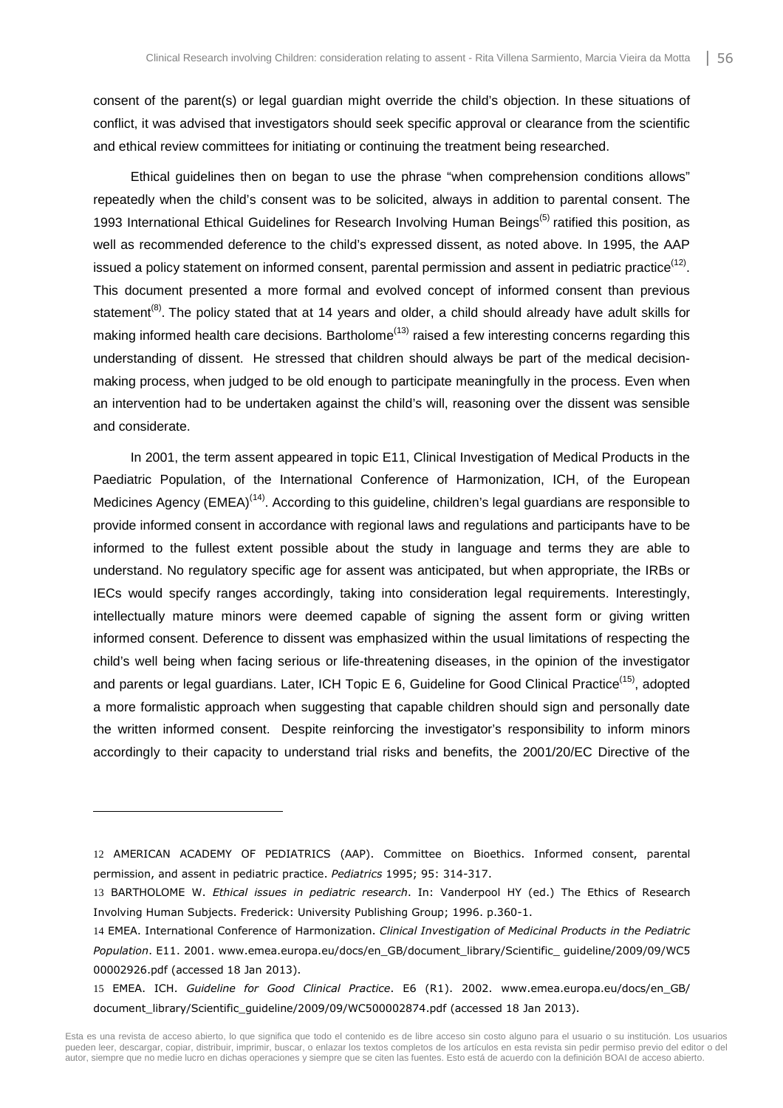consent of the parent(s) or legal guardian might override the child's objection. In these situations of conflict, it was advised that investigators should seek specific approval or clearance from the scientific and ethical review committees for initiating or continuing the treatment being researched.

Ethical guidelines then on began to use the phrase "when comprehension conditions allows" repeatedly when the child's consent was to be solicited, always in addition to parental consent. The 1993 International Ethical Guidelines for Research Involving Human Beings<sup>(5)</sup> ratified this position, as well as recommended deference to the child's expressed dissent, as noted above. In 1995, the AAP issued a policy statement on informed consent, parental permission and assent in pediatric practice<sup>(12)</sup>. This document presented a more formal and evolved concept of informed consent than previous statement<sup>(8)</sup>. The policy stated that at 14 years and older, a child should already have adult skills for making informed health care decisions. Bartholome<sup> $(13)$ </sup> raised a few interesting concerns regarding this understanding of dissent. He stressed that children should always be part of the medical decisionmaking process, when judged to be old enough to participate meaningfully in the process. Even when an intervention had to be undertaken against the child's will, reasoning over the dissent was sensible and considerate.

In 2001, the term assent appeared in topic E11, Clinical Investigation of Medical Products in the Paediatric Population, of the International Conference of Harmonization, ICH, of the European Medicines Agency ( $EMEA$ )<sup>(14)</sup>. According to this guideline, children's legal guardians are responsible to provide informed consent in accordance with regional laws and regulations and participants have to be informed to the fullest extent possible about the study in language and terms they are able to understand. No regulatory specific age for assent was anticipated, but when appropriate, the IRBs or IECs would specify ranges accordingly, taking into consideration legal requirements. Interestingly, intellectually mature minors were deemed capable of signing the assent form or giving written informed consent. Deference to dissent was emphasized within the usual limitations of respecting the child's well being when facing serious or life-threatening diseases, in the opinion of the investigator and parents or legal guardians. Later, ICH Topic E 6, Guideline for Good Clinical Practice<sup>(15)</sup>, adopted a more formalistic approach when suggesting that capable children should sign and personally date the written informed consent. Despite reinforcing the investigator's responsibility to inform minors accordingly to their capacity to understand trial risks and benefits, the 2001/20/EC Directive of the

<sup>12</sup> AMERICAN ACADEMY OF PEDIATRICS (AAP). Committee on Bioethics. Informed consent, parental permission, and assent in pediatric practice. *Pediatrics* 1995; 95: 314-317.

<sup>13</sup> BARTHOLOME W. *Ethical issues in pediatric research*. In: Vanderpool HY (ed.) The Ethics of Research Involving Human Subjects. Frederick: University Publishing Group; 1996. p.360-1.

<sup>14</sup> EMEA. International Conference of Harmonization. *Clinical Investigation of Medicinal Products in the Pediatric Population*. E11. 2001. www.emea.europa.eu/docs/en\_GB/document\_library/Scientific\_ guideline/2009/09/WC5 00002926.pdf (accessed 18 Jan 2013).

<sup>15</sup> EMEA. ICH. *Guideline for Good Clinical Practice*. E6 (R1). 2002. www.emea.europa.eu/docs/en\_GB/ document library/Scientific\_guideline/2009/09/WC500002874.pdf (accessed 18 Jan 2013).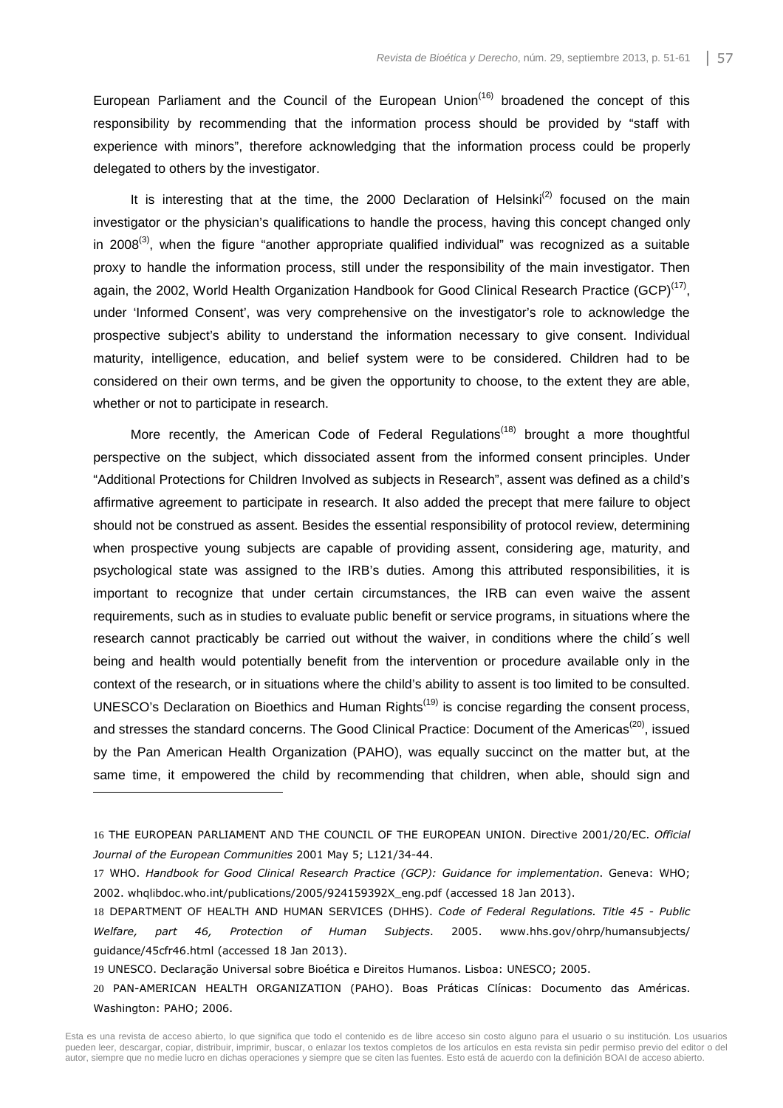European Parliament and the Council of the European Union<sup> $(16)$ </sup> broadened the concept of this responsibility by recommending that the information process should be provided by "staff with experience with minors", therefore acknowledging that the information process could be properly delegated to others by the investigator.

It is interesting that at the time, the 2000 Declaration of Helsinki<sup>(2)</sup> focused on the main investigator or the physician's qualifications to handle the process, having this concept changed only in 2008 $^{(3)}$ , when the figure "another appropriate qualified individual" was recognized as a suitable proxy to handle the information process, still under the responsibility of the main investigator. Then again, the 2002, World Health Organization Handbook for Good Clinical Research Practice (GCP)<sup>(17)</sup>, under 'Informed Consent', was very comprehensive on the investigator's role to acknowledge the prospective subject's ability to understand the information necessary to give consent. Individual maturity, intelligence, education, and belief system were to be considered. Children had to be considered on their own terms, and be given the opportunity to choose, to the extent they are able, whether or not to participate in research.

More recently, the American Code of Federal Regulations<sup> $(18)$ </sup> brought a more thoughtful perspective on the subject, which dissociated assent from the informed consent principles. Under "Additional Protections for Children Involved as subjects in Research", assent was defined as a child's affirmative agreement to participate in research. It also added the precept that mere failure to object should not be construed as assent. Besides the essential responsibility of protocol review, determining when prospective young subjects are capable of providing assent, considering age, maturity, and psychological state was assigned to the IRB's duties. Among this attributed responsibilities, it is important to recognize that under certain circumstances, the IRB can even waive the assent requirements, such as in studies to evaluate public benefit or service programs, in situations where the research cannot practicably be carried out without the waiver, in conditions where the child´s well being and health would potentially benefit from the intervention or procedure available only in the context of the research, or in situations where the child's ability to assent is too limited to be consulted. UNESCO's Declaration on Bioethics and Human Rights<sup>(19)</sup> is concise regarding the consent process, and stresses the standard concerns. The Good Clinical Practice: Document of the Americas<sup>(20)</sup>, issued by the Pan American Health Organization (PAHO), was equally succinct on the matter but, at the same time, it empowered the child by recommending that children, when able, should sign and

19 UNESCO. Declaração Universal sobre Bioética e Direitos Humanos. Lisboa: UNESCO; 2005.

<sup>16</sup> THE EUROPEAN PARLIAMENT AND THE COUNCIL OF THE EUROPEAN UNION. Directive 2001/20/EC. *Official Journal of the European Communities* 2001 May 5; L121/34-44.

<sup>17</sup> WHO. *Handbook for Good Clinical Research Practice (GCP): Guidance for implementation*. Geneva: WHO; 2002. whqlibdoc.who.int/publications/2005/924159392X\_eng.pdf (accessed 18 Jan 2013).

<sup>18</sup> DEPARTMENT OF HEALTH AND HUMAN SERVICES (DHHS). *Code of Federal Regulations. Title 45 - Public Welfare, part 46, Protection of Human Subjects*. 2005. www.hhs.gov/ohrp/humansubjects/ guidance/45cfr46.html (accessed 18 Jan 2013).

<sup>20</sup> PAN-AMERICAN HEALTH ORGANIZATION (PAHO). Boas Práticas Clínicas: Documento das Américas. Washington: PAHO; 2006.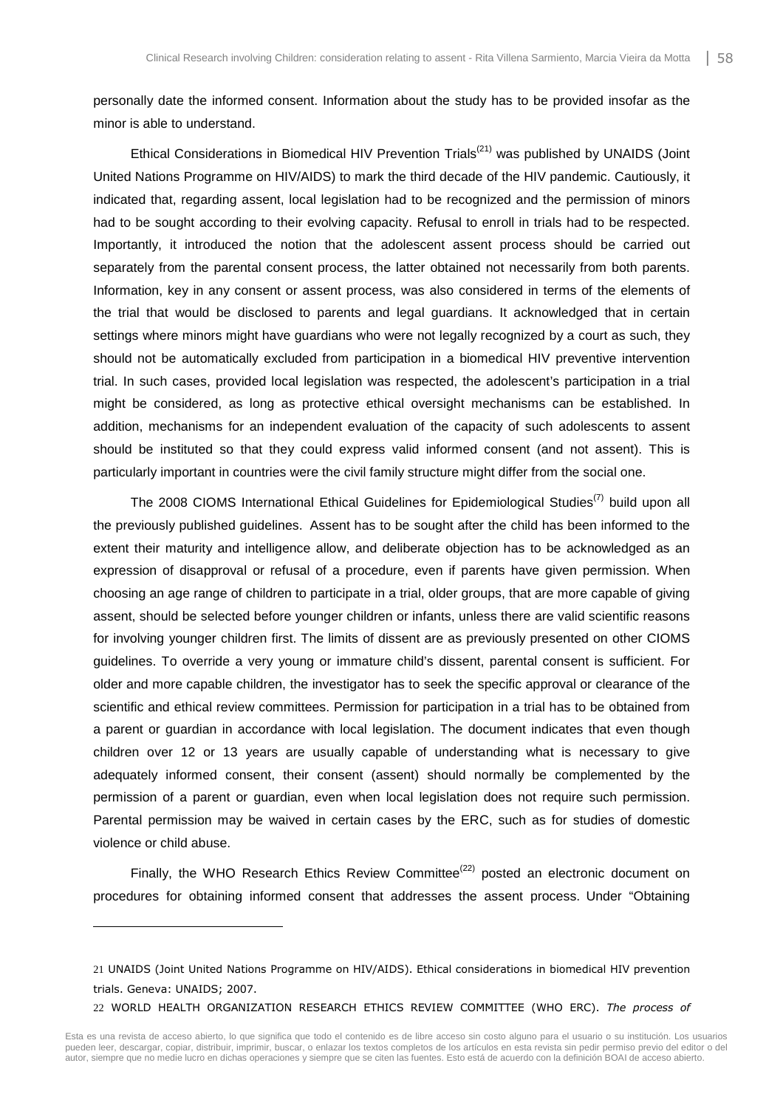personally date the informed consent. Information about the study has to be provided insofar as the minor is able to understand.

Ethical Considerations in Biomedical HIV Prevention Trials<sup>(21)</sup> was published by UNAIDS (Joint United Nations Programme on HIV/AIDS) to mark the third decade of the HIV pandemic. Cautiously, it indicated that, regarding assent, local legislation had to be recognized and the permission of minors had to be sought according to their evolving capacity. Refusal to enroll in trials had to be respected. Importantly, it introduced the notion that the adolescent assent process should be carried out separately from the parental consent process, the latter obtained not necessarily from both parents. Information, key in any consent or assent process, was also considered in terms of the elements of the trial that would be disclosed to parents and legal guardians. It acknowledged that in certain settings where minors might have guardians who were not legally recognized by a court as such, they should not be automatically excluded from participation in a biomedical HIV preventive intervention trial. In such cases, provided local legislation was respected, the adolescent's participation in a trial might be considered, as long as protective ethical oversight mechanisms can be established. In addition, mechanisms for an independent evaluation of the capacity of such adolescents to assent should be instituted so that they could express valid informed consent (and not assent). This is particularly important in countries were the civil family structure might differ from the social one.

The 2008 CIOMS International Ethical Guidelines for Epidemiological Studies<sup>(7)</sup> build upon all the previously published guidelines. Assent has to be sought after the child has been informed to the extent their maturity and intelligence allow, and deliberate objection has to be acknowledged as an expression of disapproval or refusal of a procedure, even if parents have given permission. When choosing an age range of children to participate in a trial, older groups, that are more capable of giving assent, should be selected before younger children or infants, unless there are valid scientific reasons for involving younger children first. The limits of dissent are as previously presented on other CIOMS guidelines. To override a very young or immature child's dissent, parental consent is sufficient. For older and more capable children, the investigator has to seek the specific approval or clearance of the scientific and ethical review committees. Permission for participation in a trial has to be obtained from a parent or guardian in accordance with local legislation. The document indicates that even though children over 12 or 13 years are usually capable of understanding what is necessary to give adequately informed consent, their consent (assent) should normally be complemented by the permission of a parent or guardian, even when local legislation does not require such permission. Parental permission may be waived in certain cases by the ERC, such as for studies of domestic violence or child abuse.

Finally, the WHO Research Ethics Review Committee<sup>(22)</sup> posted an electronic document on procedures for obtaining informed consent that addresses the assent process. Under "Obtaining

l

22 WORLD HEALTH ORGANIZATION RESEARCH ETHICS REVIEW COMMITTEE (WHO ERC). *The process of* 

<sup>21</sup> UNAIDS (Joint United Nations Programme on HIV/AIDS). Ethical considerations in biomedical HIV prevention trials. Geneva: UNAIDS; 2007.

Esta es una revista de acceso abierto, lo que significa que todo el contenido es de libre acceso sin costo alguno para el usuario o su institución. Los usuarios pueden leer, descargar, copiar, distribuir, imprimir, buscar, o enlazar los textos completos de los artículos en esta revista sin pedir permiso previo del editor o del autor, siempre que no medie lucro en dichas operaciones y siempre que se citen las fuentes. Esto está de acuerdo con la definición BOAI de acceso abierto.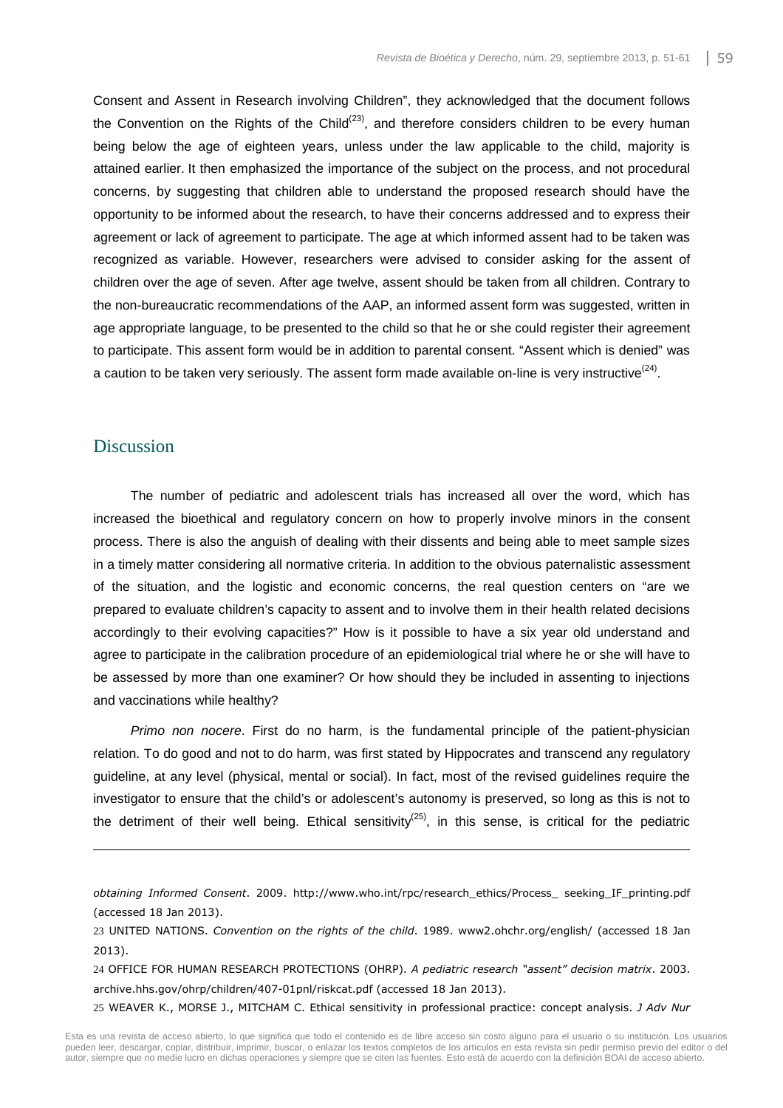Consent and Assent in Research involving Children", they acknowledged that the document follows the Convention on the Rights of the Child<sup> $(23)$ </sup>, and therefore considers children to be every human being below the age of eighteen years, unless under the law applicable to the child, majority is attained earlier. It then emphasized the importance of the subject on the process, and not procedural concerns, by suggesting that children able to understand the proposed research should have the opportunity to be informed about the research, to have their concerns addressed and to express their agreement or lack of agreement to participate. The age at which informed assent had to be taken was recognized as variable. However, researchers were advised to consider asking for the assent of children over the age of seven. After age twelve, assent should be taken from all children. Contrary to the non-bureaucratic recommendations of the AAP, an informed assent form was suggested, written in age appropriate language, to be presented to the child so that he or she could register their agreement to participate. This assent form would be in addition to parental consent. "Assent which is denied" was a caution to be taken very seriously. The assent form made available on-line is very instructive<sup>(24)</sup>.

# **Discussion**

l

The number of pediatric and adolescent trials has increased all over the word, which has increased the bioethical and regulatory concern on how to properly involve minors in the consent process. There is also the anguish of dealing with their dissents and being able to meet sample sizes in a timely matter considering all normative criteria. In addition to the obvious paternalistic assessment of the situation, and the logistic and economic concerns, the real question centers on "are we prepared to evaluate children's capacity to assent and to involve them in their health related decisions accordingly to their evolving capacities?" How is it possible to have a six year old understand and agree to participate in the calibration procedure of an epidemiological trial where he or she will have to be assessed by more than one examiner? Or how should they be included in assenting to injections and vaccinations while healthy?

Primo non nocere. First do no harm, is the fundamental principle of the patient-physician relation. To do good and not to do harm, was first stated by Hippocrates and transcend any regulatory guideline, at any level (physical, mental or social). In fact, most of the revised guidelines require the investigator to ensure that the child's or adolescent's autonomy is preserved, so long as this is not to the detriment of their well being. Ethical sensitivity<sup>(25)</sup>, in this sense, is critical for the pediatric

25 WEAVER K., MORSE J., MITCHAM C. Ethical sensitivity in professional practice: concept analysis. *J Adv Nur*

*obtaining Informed Consent*. 2009. http://www.who.int/rpc/research\_ethics/Process\_ seeking\_IF\_printing.pdf (accessed 18 Jan 2013).

<sup>23</sup> UNITED NATIONS. *Convention on the rights of the child*. 1989. www2.ohchr.org/english/ (accessed 18 Jan 2013).

<sup>24</sup> OFFICE FOR HUMAN RESEARCH PROTECTIONS (OHRP). *A pediatric research "assent" decision matrix*. 2003. archive.hhs.gov/ohrp/children/407-01pnl/riskcat.pdf (accessed 18 Jan 2013).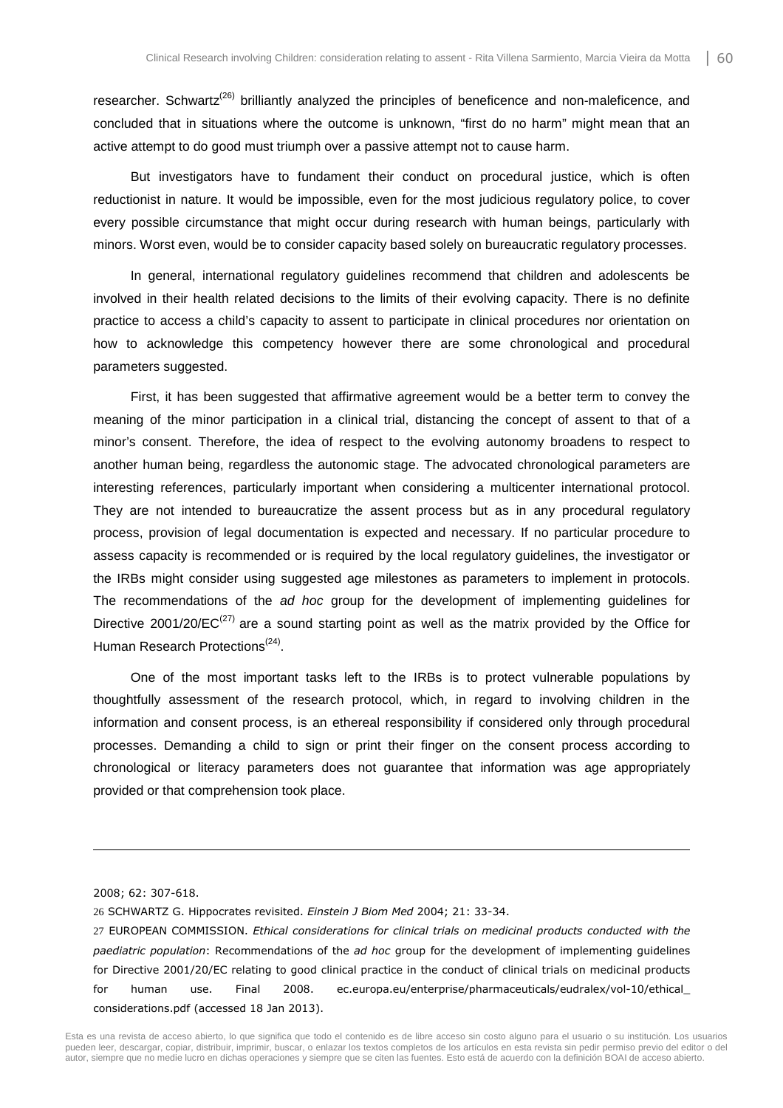researcher. Schwartz<sup>(26)</sup> brilliantly analyzed the principles of beneficence and non-maleficence, and concluded that in situations where the outcome is unknown, "first do no harm" might mean that an active attempt to do good must triumph over a passive attempt not to cause harm.

But investigators have to fundament their conduct on procedural justice, which is often reductionist in nature. It would be impossible, even for the most judicious regulatory police, to cover every possible circumstance that might occur during research with human beings, particularly with minors. Worst even, would be to consider capacity based solely on bureaucratic regulatory processes.

In general, international regulatory guidelines recommend that children and adolescents be involved in their health related decisions to the limits of their evolving capacity. There is no definite practice to access a child's capacity to assent to participate in clinical procedures nor orientation on how to acknowledge this competency however there are some chronological and procedural parameters suggested.

First, it has been suggested that affirmative agreement would be a better term to convey the meaning of the minor participation in a clinical trial, distancing the concept of assent to that of a minor's consent. Therefore, the idea of respect to the evolving autonomy broadens to respect to another human being, regardless the autonomic stage. The advocated chronological parameters are interesting references, particularly important when considering a multicenter international protocol. They are not intended to bureaucratize the assent process but as in any procedural regulatory process, provision of legal documentation is expected and necessary. If no particular procedure to assess capacity is recommended or is required by the local regulatory guidelines, the investigator or the IRBs might consider using suggested age milestones as parameters to implement in protocols. The recommendations of the *ad hoc* group for the development of implementing quidelines for Directive 2001/20/EC<sup>(27)</sup> are a sound starting point as well as the matrix provided by the Office for Human Research Protections<sup>(24)</sup>.

One of the most important tasks left to the IRBs is to protect vulnerable populations by thoughtfully assessment of the research protocol, which, in regard to involving children in the information and consent process, is an ethereal responsibility if considered only through procedural processes. Demanding a child to sign or print their finger on the consent process according to chronological or literacy parameters does not guarantee that information was age appropriately provided or that comprehension took place.

2008; 62: 307-618.

l

27 EUROPEAN COMMISSION. *Ethical considerations for clinical trials on medicinal products conducted with the paediatric population*: Recommendations of the *ad hoc* group for the development of implementing guidelines for Directive 2001/20/EC relating to good clinical practice in the conduct of clinical trials on medicinal products for human use. Final 2008. ec.europa.eu/enterprise/pharmaceuticals/eudralex/vol-10/ethical\_ considerations.pdf (accessed 18 Jan 2013).

<sup>26</sup> SCHWARTZ G. Hippocrates revisited. *Einstein J Biom Med* 2004; 21: 33-34.